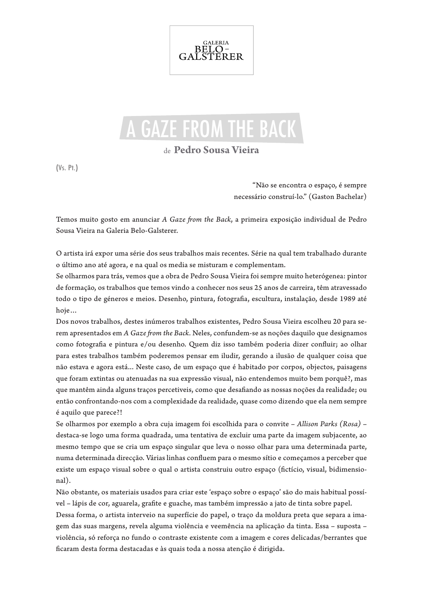

## A GAZE FROM THE BACK

## de **Pedro Sousa Vieira**

(Vs. Pt.)

"Não se encontra o espaço, é sempre necessário construí-lo." (Gaston Bachelar)

Temos muito gosto em anunciar *A Gaze from the Back*, a primeira exposição individual de Pedro Sousa Vieira na Galeria Belo-Galsterer.

O artista irá expor uma série dos seus trabalhos mais recentes. Série na qual tem trabalhado durante o último ano até agora, e na qual os media se misturam e complementam.

Se olharmos para trás, vemos que a obra de Pedro Sousa Vieira foi sempre muito heterógenea: pintor de formação, os trabalhos que temos vindo a conhecer nos seus 25 anos de carreira, têm atravessado todo o tipo de géneros e meios. Desenho, pintura, fotografia, escultura, instalação, desde 1989 até hoje…

Dos novos trabalhos, destes inúmeros trabalhos existentes, Pedro Sousa Vieira escolheu 20 para serem apresentados em *A Gaze from the Back.* Neles, confundem-se as noções daquilo que designamos como fotografia e pintura e/ou desenho. Quem diz isso também poderia dizer confluir; ao olhar para estes trabalhos também poderemos pensar em iludir, gerando a ilusão de qualquer coisa que não estava e agora está... Neste caso, de um espaço que é habitado por corpos, objectos, paisagens que foram extintas ou atenuadas na sua expressão visual, não entendemos muito bem porquê?, mas que mantêm ainda alguns traços percetiveis, como que desafiando as nossas noções da realidade; ou então confrontando-nos com a complexidade da realidade, quase como dizendo que ela nem sempre é aquilo que parece?!

Se olharmos por exemplo a obra cuja imagem foi escolhida para o convite – *Allison Parks (Rosa)* – destaca-se logo uma forma quadrada, uma tentativa de excluir uma parte da imagem subjacente, ao mesmo tempo que se cria um espaço singular que leva o nosso olhar para uma determinada parte, numa determinada direcção. Várias linhas confluem para o mesmo sítio e começamos a perceber que existe um espaço visual sobre o qual o artista construiu outro espaço (fictício, visual, bidimensional).

Não obstante, os materiais usados para criar este 'espaço sobre o espaço' são do mais habitual possível – lápis de cor, aguarela, grafite e guache, mas também impressão a jato de tinta sobre papel.

Dessa forma, o artista interveio na superfície do papel, o traço da moldura preta que separa a imagem das suas margens, revela alguma violência e veemência na aplicação da tinta. Essa – suposta – violência, só reforça no fundo o contraste existente com a imagem e cores delicadas/berrantes que ficaram desta forma destacadas e às quais toda a nossa atenção é dirigida.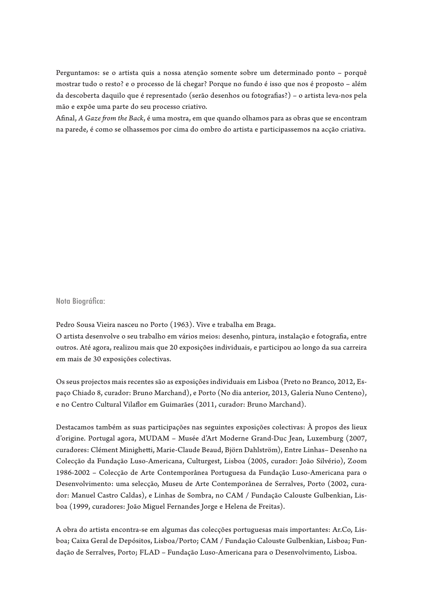Perguntamos: se o artista quis a nossa atenção somente sobre um determinado ponto – porquê mostrar tudo o resto? e o processo de lá chegar? Porque no fundo é isso que nos é proposto – além da descoberta daquilo que é representado (serão desenhos ou fotografias?) – o artista leva-nos pela mão e expõe uma parte do seu processo criativo.

Afinal, *A Gaze from the Back*, é uma mostra, em que quando olhamos para as obras que se encontram na parede, é como se olhassemos por cima do ombro do artista e participassemos na acção criativa.

Nota Biográfica:

Pedro Sousa Vieira nasceu no Porto (1963). Vive e trabalha em Braga.

O artista desenvolve o seu trabalho em vários meios: desenho, pintura, instalação e fotografia, entre outros. Até agora, realizou mais que 20 exposições individuais, e participou ao longo da sua carreira em mais de 30 exposições colectivas.

Os seus projectos mais recentes são as exposições individuais em Lisboa (Preto no Branco, 2012, Espaço Chiado 8, curador: Bruno Marchand), e Porto (No dia anterior, 2013, Galeria Nuno Centeno), e no Centro Cultural Vilaflor em Guimarães (2011, curador: Bruno Marchand).

Destacamos também as suas participações nas seguintes exposições colectivas: À propos des lieux d'origine. Portugal agora, MUDAM – Musée d'Art Moderne Grand-Duc Jean, Luxemburg (2007, curadores: Clément Minighetti, Marie-Claude Beaud, Björn Dahlström), Entre Linhas– Desenho na Colecção da Fundação Luso-Americana, Culturgest, Lisboa (2005, curador: João Silvério), Zoom 1986-2002 – Colecção de Arte Contemporânea Portuguesa da Fundação Luso-Americana para o Desenvolvimento: uma selecção, Museu de Arte Contemporânea de Serralves, Porto (2002, curador: Manuel Castro Caldas), e Linhas de Sombra, no CAM / Fundação Calouste Gulbenkian, Lisboa (1999, curadores: João Miguel Fernandes Jorge e Helena de Freitas).

A obra do artista encontra-se em algumas das colecções portuguesas mais importantes: Ar.Co, Lisboa; Caixa Geral de Depósitos, Lisboa/Porto; CAM / Fundação Calouste Gulbenkian, Lisboa; Fundação de Serralves, Porto; FLAD – Fundação Luso-Americana para o Desenvolvimento, Lisboa.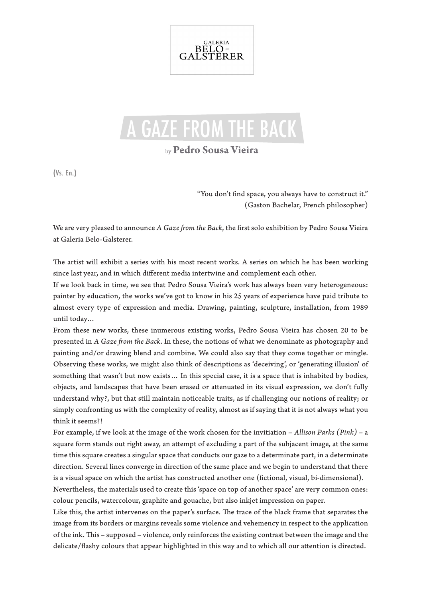

## A GAZE FROM THE BACK

by **Pedro Sousa Vieira**

(Vs. En.)

"You don't find space, you always have to construct it." (Gaston Bachelar, French philosopher)

We are very pleased to announce *A Gaze from the Back*, the first solo exhibition by Pedro Sousa Vieira at Galeria Belo-Galsterer.

The artist will exhibit a series with his most recent works. A series on which he has been working since last year, and in which different media intertwine and complement each other.

If we look back in time, we see that Pedro Sousa Vieira's work has always been very heterogeneous: painter by education, the works we've got to know in his 25 years of experience have paid tribute to almost every type of expression and media. Drawing, painting, sculpture, installation, from 1989 until today…

From these new works, these inumerous existing works, Pedro Sousa Vieira has chosen 20 to be presented in *A Gaze from the Back*. In these, the notions of what we denominate as photography and painting and/or drawing blend and combine. We could also say that they come together or mingle. Observing these works, we might also think of descriptions as 'deceiving', or 'generating illusion' of something that wasn't but now exists… In this special case, it is a space that is inhabited by bodies, objects, and landscapes that have been erased or attenuated in its visual expression, we don't fully understand why?, but that still maintain noticeable traits, as if challenging our notions of reality; or simply confronting us with the complexity of reality, almost as if saying that it is not always what you think it seems?!

For example, if we look at the image of the work chosen for the invitiation – *Allison Parks (Pink)* – a square form stands out right away, an attempt of excluding a part of the subjacent image, at the same time this square creates a singular space that conducts our gaze to a determinate part, in a determinate direction. Several lines converge in direction of the same place and we begin to understand that there is a visual space on which the artist has constructed another one (fictional, visual, bi-dimensional).

Nevertheless, the materials used to create this 'space on top of another space' are very common ones: colour pencils, watercolour, graphite and gouache, but also inkjet impression on paper.

Like this, the artist intervenes on the paper's surface. The trace of the black frame that separates the image from its borders or margins reveals some violence and vehemency in respect to the application of the ink. This – supposed – violence, only reinforces the existing contrast between the image and the delicate/flashy colours that appear highlighted in this way and to which all our attention is directed.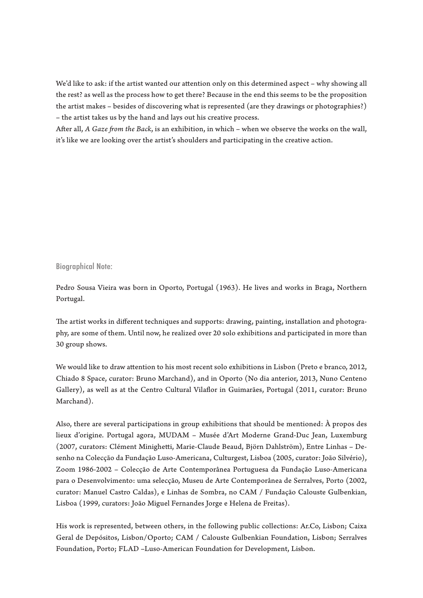We'd like to ask: if the artist wanted our attention only on this determined aspect – why showing all the rest? as well as the process how to get there? Because in the end this seems to be the proposition the artist makes – besides of discovering what is represented (are they drawings or photographies?) – the artist takes us by the hand and lays out his creative process.

After all, *A Gaze from the Back*, is an exhibition, in which – when we observe the works on the wall, it's like we are looking over the artist's shoulders and participating in the creative action.

Biographical Note:

Pedro Sousa Vieira was born in Oporto, Portugal (1963). He lives and works in Braga, Northern Portugal.

The artist works in different techniques and supports: drawing, painting, installation and photography, are some of them. Until now, he realized over 20 solo exhibitions and participated in more than 30 group shows.

We would like to draw attention to his most recent solo exhibitions in Lisbon (Preto e branco, 2012, Chiado 8 Space, curator: Bruno Marchand), and in Oporto (No dia anterior, 2013, Nuno Centeno Gallery), as well as at the Centro Cultural Vilaflor in Guimarães, Portugal (2011, curator: Bruno Marchand).

Also, there are several participations in group exhibitions that should be mentioned:  $\hat{A}$  propos des lieux d'origine. Portugal agora, MUDAM – Musée d'Art Moderne Grand-Duc Jean, Luxemburg (2007, curators: Clément Minighetti, Marie-Claude Beaud, Björn Dahlström), Entre Linhas – Desenho na Colecção da Fundação Luso-Americana, Culturgest, Lisboa (2005, curator: João Silvério), Zoom 1986-2002 – Colecção de Arte Contemporânea Portuguesa da Fundação Luso-Americana para o Desenvolvimento: uma selecção, Museu de Arte Contemporânea de Serralves, Porto (2002, curator: Manuel Castro Caldas), e Linhas de Sombra, no CAM / Fundação Calouste Gulbenkian, Lisboa (1999, curators: João Miguel Fernandes Jorge e Helena de Freitas).

His work is represented, between others, in the following public collections: Ar.Co, Lisbon; Caixa Geral de Depósitos, Lisbon/Oporto; CAM / Calouste Gulbenkian Foundation, Lisbon; Serralves Foundation, Porto; FLAD –Luso-American Foundation for Development, Lisbon.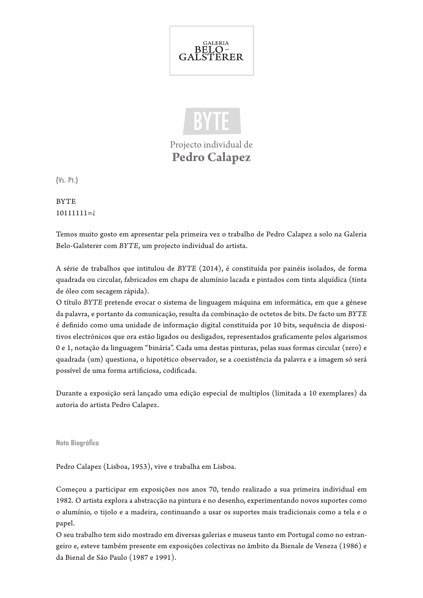



Projecto individual de **Pedro Calapez**

(Vs. Pt.)

**BYTE** 10111111=*i* 

Temos muito gosto em apresentar pela primeira vez o trabalho de Pedro Calapez a solo na Galeria Belo-Galsterer com *BYTE*, um projecto individual do artista.

A série de trabalhos que intitulou de *BYTE* (2014), é constituída por painéis isolados, de forma quadrada ou circular, fabricados em chapa de alumínio lacada e pintados com tinta alquídica (tinta de óleo com secagem rápida).

O título *BYTE* pretende evocar o sistema de linguagem máquina em informática, em que a génese da palavra, e portanto da comunicação, resulta da combinação de octetos de bits. De facto um *BYTE* é definido como uma unidade de informação digital constituída por 10 bits, sequência de dispositivos electrónicos que ora estão ligados ou desligados, representados graficamente pelos algarismos 0 e 1, notação da linguagem "binária". Cada uma destas pinturas, pelas suas formas circular (zero) e quadrada (um) questiona, o hipotético observador, se a coexistência da palavra e a imagem só será possível de uma forma artificiosa, codificada.

Durante a exposição será lançado uma edição especial de multiplos (limitada a 10 exemplares) da autoria do artista Pedro Calapez.

Nota Biográfica

Pedro Calapez (Lisboa, 1953), vive e trabalha em Lisboa.

Começou a participar em exposições nos anos 70, tendo realizado a sua primeira individual em 1982. O artista explora a abstracção na pintura e no desenho, experimentando novos suportes como o alumínio, o tijolo e a madeira, continuando a usar os suportes mais tradicionais como a tela e o papel.

O seu trabalho tem sido mostrado em diversas galerias e museus tanto em Portugal como no estrangeiro e, esteve também presente em exposições colectivas no âmbito da Bienale de Veneza (1986) e da Bienal de São Paulo (1987 e 1991).